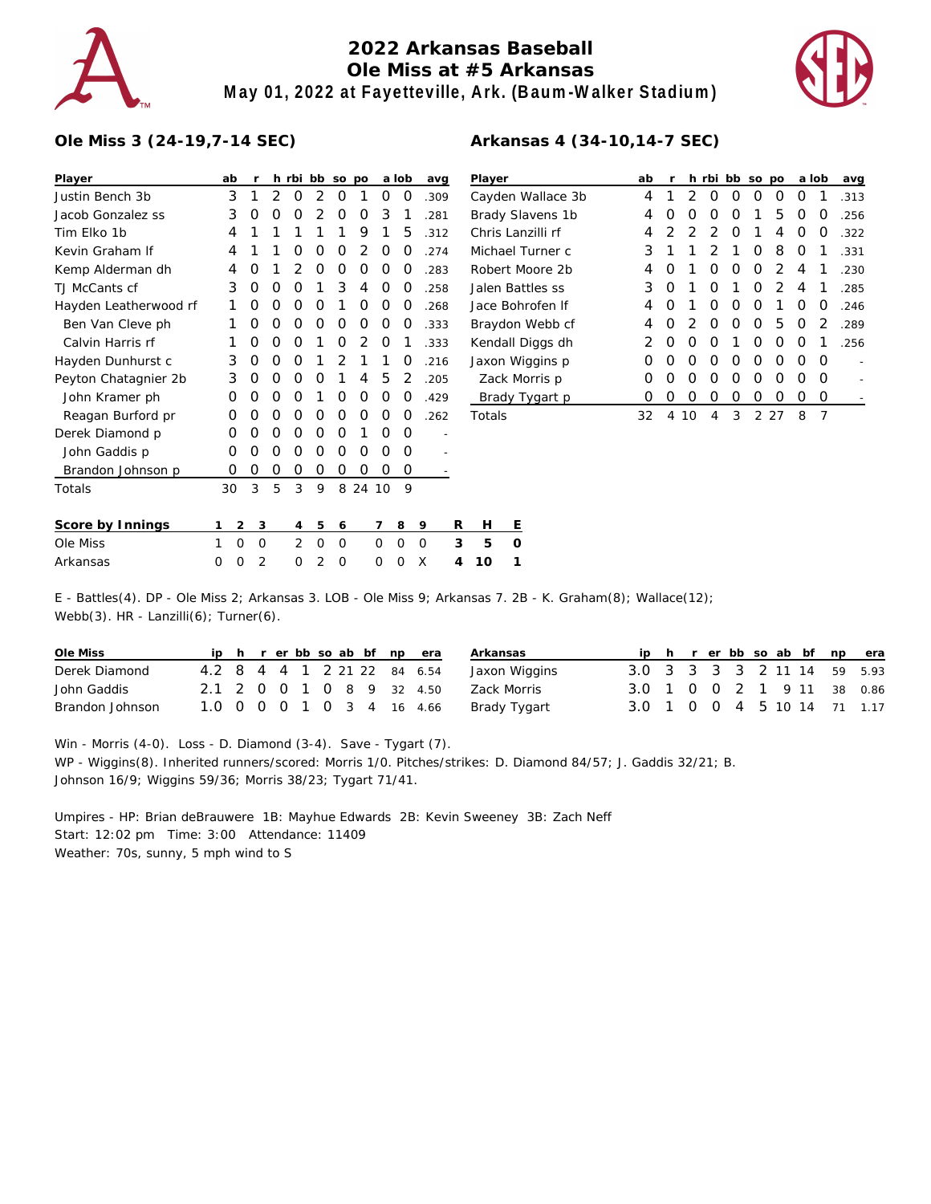

# **2022 Arkansas Baseball Ole Miss at #5 Arkansas May 01, 2022 at Fayetteville, Ark. (Baum-Walker Stadium)**



#### **Ole Miss 3 (24-19,7-14 SEC)**

| Player                | ab |   | r |          |   | h rbi bb so po |                |    |    | a lob | avg  |   | Player          |   |
|-----------------------|----|---|---|----------|---|----------------|----------------|----|----|-------|------|---|-----------------|---|
| Justin Bench 3b       |    | 3 | 1 | 2        | O | 2              | O              | 1  | O  | O     | .309 |   | Cayden          |   |
| Jacob Gonzalez ss     |    | 3 | O | O        | Ω | 2              | 0              | Ο  | 3  | 1     | .281 |   | <b>Brady SI</b> |   |
| Tim Elko 1b           |    | 4 | 1 | 1        | 1 | 1              | 1              | 9  | 1  | 5     | .312 |   | Chris Lai       |   |
| Kevin Graham If       |    | 4 | 1 | 1        | Ο | O              | O              | 2  | O  | Ο     | .274 |   | Michael         |   |
| Kemp Alderman dh      |    | 4 | Ο | 1        | 2 | O              | O              | Ο  | O  | O     | .283 |   | Robert N        |   |
| TJ McCants cf         |    | 3 | O | O        | Ω | 1              | 3              | 4  | O  | O     | .258 |   | Jalen Ba        |   |
| Hayden Leatherwood rf |    | 1 | O | $\Omega$ | Ω | O              | 1              | Ω  | O  | O     | .268 |   | Jace Bor        |   |
| Ben Van Cleve ph      |    | 1 | O | O        | Ω | O              | 0              | Ο  | Ω  | Ο     | .333 |   | Braydon         |   |
| Calvin Harris rf      |    | 1 | O | O        | Ο | 1              | O              | 2  | O  | 1     | .333 |   | Kendall         |   |
| Hayden Dunhurst c     |    | 3 | O | O        | Ο | 1              | $\overline{2}$ | 1  | 1  | O     | .216 |   | Jaxon W         |   |
| Peyton Chatagnier 2b  |    | 3 | O | O        | Ω | $\Omega$       | 1              | 4  | 5  | 2     | .205 |   | Zack M          |   |
| John Kramer ph        |    | Ω | O | $\Omega$ | Ω | 1              | O              | Ο  | O  | Ο     | .429 |   | Brady           |   |
| Reagan Burford pr     |    | O | O | O        | Ω | O              | 0              | Ο  | Ω  | Ο     | .262 |   | Totals          |   |
| Derek Diamond p       |    | O | O | O        | Ο | O              | O              | 1  | O  | O     |      |   |                 |   |
| John Gaddis p         |    | O | O | O        | Ω | O              | 0              | Ο  | O  | O     |      |   |                 |   |
| Brandon Johnson p     |    | Ο | 0 | O        | Ο | O              | 0              | Ο  | O  | Ο     |      |   |                 |   |
| Totals                | 30 |   | 3 | 5        | 3 | 9              | 8              | 24 | 10 | 9     |      |   |                 |   |
| Score by Innings      | 1  | 2 | 3 |          | 4 | 5              | 6              |    | 7  | 8     | 9    | R | Н               | Е |
| Ole Miss              | 1  | 0 | 0 |          | 2 | O              | 0              |    | 0  | 0     | 0    | 3 | 5               | O |

Arkansas 0 0 2 0 2 0 0 0 X **4 10 1**

| Player            | ab | r | h. | rbi              | bb               | <b>SO</b>        | po               |                  | a lob | avg  |
|-------------------|----|---|----|------------------|------------------|------------------|------------------|------------------|-------|------|
| Cayden Wallace 3b | 4  |   | っ  | $\left( \right)$ | $\left( \right)$ | $\left( \right)$ | $\left( \right)$ | $\left( \right)$ |       | .313 |
| Brady Slavens 1b  | 4  | Ω | O  | O                | O                | 1                | 5                | Ω                | O     | .256 |
| Chris Lanzilli rf | 4  | 2 | 2  | $\mathcal{P}$    | O                | 1                | 4                | Ω                | Ω     | .322 |
| Michael Turner c  | 3  | 1 | 1  | 2                | 1                | Ω                | 8                | Ω                | 1     | .331 |
| Robert Moore 2b   | 4  | Ω | 1  | Ω                | Ω                | O                | 2                | 4                | 1     | .230 |
| Jalen Battles ss  | 3  | Ω | 1  | 0                | 1                | O                | 2                | 4                | 1     | .285 |
| Jace Bohrofen If  | 4  | Ω | 1  | O                | O                | O                | 1                | Ω                | O     | .246 |
| Braydon Webb cf   | 4  | Ω | 2  | O                | Ω                | O                | 5                | Ω                | 2     | .289 |
| Kendall Diggs dh  | 2  | Ω | Ω  | O                | 1                | Ω                | Ω                | O                |       | .256 |
| Jaxon Wiggins p   | Ω  | Ω | Ω  | O                | Ω                | Ω                | Ω                | Ω                | O     |      |
| Zack Morris p     | Ω  | Ω | Ω  | O                | Ω                | Ω                | Ω                | Ω                | O     |      |
| Brady Tygart p    | Ω  | Ω | Ω  | Ω                | Ω                | Ω                | Ω                | Ω                | O     |      |
| Totals            | 32 | 4 | 10 | 4                | 3                | 2                | 27               | 8                | 7     |      |

### E - Battles(4). DP - Ole Miss 2; Arkansas 3. LOB - Ole Miss 9; Arkansas 7. 2B - K. Graham(8); Wallace(12); Webb(3). HR - Lanzilli(6); Turner(6).

| Ole Miss        |  |  |  |  | ip h r er bb so ab bf np era | Arkansas      |                             |  |  |  |  | ip h r er bb so ab bf np era |
|-----------------|--|--|--|--|------------------------------|---------------|-----------------------------|--|--|--|--|------------------------------|
| Derek Diamond   |  |  |  |  | 4.2 8 4 4 1 2 21 22 84 6.54  | Jaxon Wiggins | 3.0 3 3 3 3 2 11 14 59 5.93 |  |  |  |  |                              |
| John Gaddis     |  |  |  |  | 2.1 2 0 0 1 0 8 9 32 4.50    | Zack Morris   | 3.0 1 0 0 2 1 9 11 38 0.86  |  |  |  |  |                              |
| Brandon Johnson |  |  |  |  | 1.0 0 0 0 1 0 3 4 16 4.66    | Brady Tygart  | 3.0 1 0 0 4 5 10 14 71 1.17 |  |  |  |  |                              |

Win - Morris (4-0). Loss - D. Diamond (3-4). Save - Tygart (7). WP - Wiggins(8). Inherited runners/scored: Morris 1/0. Pitches/strikes: D. Diamond 84/57; J. Gaddis 32/21; B. Johnson 16/9; Wiggins 59/36; Morris 38/23; Tygart 71/41.

Umpires - HP: Brian deBrauwere 1B: Mayhue Edwards 2B: Kevin Sweeney 3B: Zach Neff Start: 12:02 pm Time: 3:00 Attendance: 11409 Weather: 70s, sunny, 5 mph wind to S

## **Arkansas 4 (34-10,14-7 SEC)**